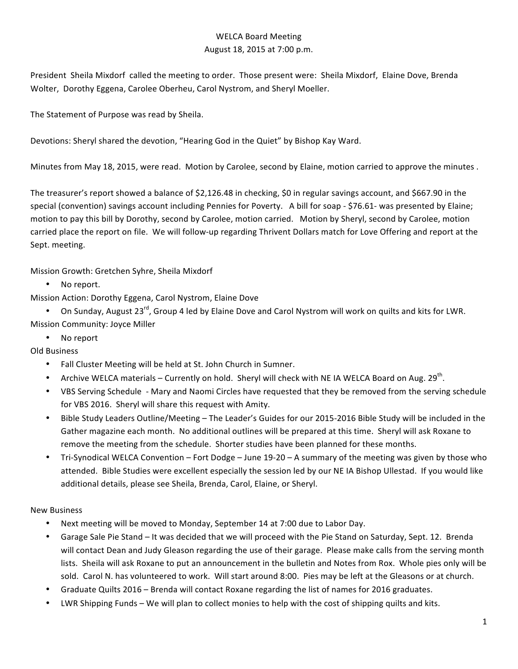## WELCA Board Meeting August 18, 2015 at 7:00 p.m.

President Sheila Mixdorf called the meeting to order. Those present were: Sheila Mixdorf, Elaine Dove, Brenda Wolter, Dorothy Eggena, Carolee Oberheu, Carol Nystrom, and Sheryl Moeller.

The Statement of Purpose was read by Sheila.

Devotions: Sheryl shared the devotion, "Hearing God in the Quiet" by Bishop Kay Ward.

Minutes from May 18, 2015, were read. Motion by Carolee, second by Elaine, motion carried to approve the minutes.

The treasurer's report showed a balance of \$2,126.48 in checking, \$0 in regular savings account, and \$667.90 in the special (convention) savings account including Pennies for Poverty. A bill for soap - \$76.61- was presented by Elaine; motion to pay this bill by Dorothy, second by Carolee, motion carried. Motion by Sheryl, second by Carolee, motion carried place the report on file. We will follow-up regarding Thrivent Dollars match for Love Offering and report at the Sept. meeting.

Mission Growth: Gretchen Syhre, Sheila Mixdorf

• No report.

Mission Action: Dorothy Eggena, Carol Nystrom, Elaine Dove

• On Sunday, August 23<sup>rd</sup>, Group 4 led by Elaine Dove and Carol Nystrom will work on quilts and kits for LWR. Mission Community: Joyce Miller

• No report

Old Business

- Fall Cluster Meeting will be held at St. John Church in Sumner.
- Archive WELCA materials Currently on hold. Sheryl will check with NE IA WELCA Board on Aug. 29<sup>th</sup>.
- VBS Serving Schedule Mary and Naomi Circles have requested that they be removed from the serving schedule for VBS 2016. Sheryl will share this request with Amity.
- Bible Study Leaders Outline/Meeting The Leader's Guides for our 2015-2016 Bible Study will be included in the Gather magazine each month. No additional outlines will be prepared at this time. Sheryl will ask Roxane to remove the meeting from the schedule. Shorter studies have been planned for these months.
- Tri-Synodical WELCA Convention Fort Dodge June 19-20 A summary of the meeting was given by those who attended. Bible Studies were excellent especially the session led by our NE IA Bishop Ullestad. If you would like additional details, please see Sheila, Brenda, Carol, Elaine, or Sheryl.

New Business

- Next meeting will be moved to Monday, September 14 at 7:00 due to Labor Day.
- Garage Sale Pie Stand It was decided that we will proceed with the Pie Stand on Saturday, Sept. 12. Brenda will contact Dean and Judy Gleason regarding the use of their garage. Please make calls from the serving month lists. Sheila will ask Roxane to put an announcement in the bulletin and Notes from Rox. Whole pies only will be sold. Carol N. has volunteered to work. Will start around 8:00. Pies may be left at the Gleasons or at church.
- Graduate Quilts 2016 Brenda will contact Roxane regarding the list of names for 2016 graduates.
- LWR Shipping Funds We will plan to collect monies to help with the cost of shipping quilts and kits.